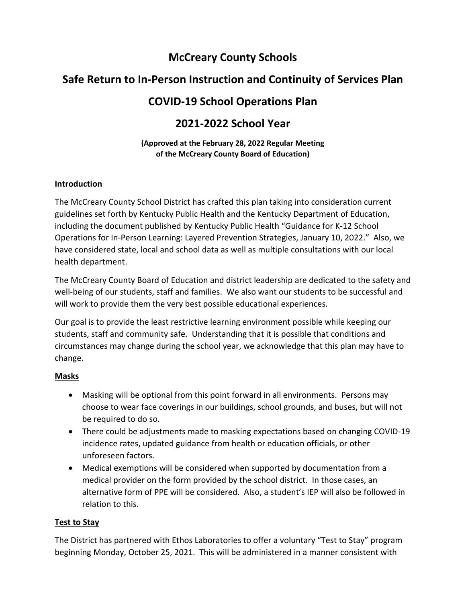# **McCreary County Schools**

# **Safe Return to In‐Person Instruction and Continuity of Services Plan**

# **COVID‐19 School Operations Plan**

## **2021‐2022 School Year**

### **(Approved at the February 28, 2022 Regular Meeting of the McCreary County Board of Education)**

### **Introduction**

The McCreary County School District has crafted this plan taking into consideration current guidelines set forth by Kentucky Public Health and the Kentucky Department of Education, including the document published by Kentucky Public Health "Guidance for K‐12 School Operations for In‐Person Learning: Layered Prevention Strategies, January 10, 2022." Also, we have considered state, local and school data as well as multiple consultations with our local health department.

The McCreary County Board of Education and district leadership are dedicated to the safety and well-being of our students, staff and families. We also want our students to be successful and will work to provide them the very best possible educational experiences.

Our goal is to provide the least restrictive learning environment possible while keeping our students, staff and community safe. Understanding that it is possible that conditions and circumstances may change during the school year, we acknowledge that this plan may have to change.

## **Masks**

- Masking will be optional from this point forward in all environments. Persons may choose to wear face coverings in our buildings, school grounds, and buses, but will not be required to do so.
- There could be adjustments made to masking expectations based on changing COVID‐19 incidence rates, updated guidance from health or education officials, or other unforeseen factors.
- Medical exemptions will be considered when supported by documentation from a medical provider on the form provided by the school district. In those cases, an alternative form of PPE will be considered. Also, a student's IEP will also be followed in relation to this.

## **Test to Stay**

The District has partnered with Ethos Laboratories to offer a voluntary "Test to Stay" program beginning Monday, October 25, 2021. This will be administered in a manner consistent with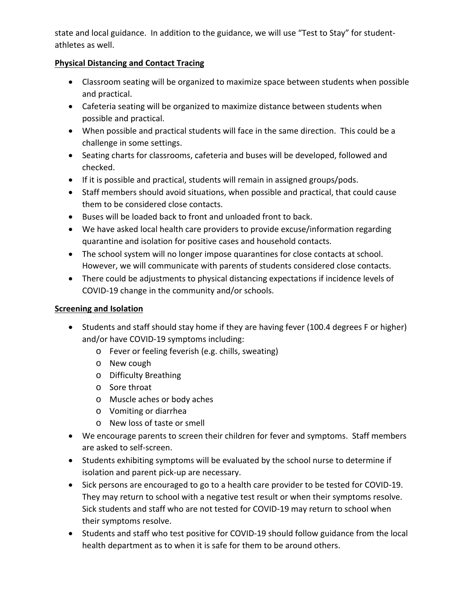state and local guidance. In addition to the guidance, we will use "Test to Stay" for student‐ athletes as well.

### **Physical Distancing and Contact Tracing**

- Classroom seating will be organized to maximize space between students when possible and practical.
- Cafeteria seating will be organized to maximize distance between students when possible and practical.
- When possible and practical students will face in the same direction. This could be a challenge in some settings.
- Seating charts for classrooms, cafeteria and buses will be developed, followed and checked.
- If it is possible and practical, students will remain in assigned groups/pods.
- Staff members should avoid situations, when possible and practical, that could cause them to be considered close contacts.
- Buses will be loaded back to front and unloaded front to back.
- We have asked local health care providers to provide excuse/information regarding quarantine and isolation for positive cases and household contacts.
- The school system will no longer impose quarantines for close contacts at school. However, we will communicate with parents of students considered close contacts.
- There could be adjustments to physical distancing expectations if incidence levels of COVID‐19 change in the community and/or schools.

## **Screening and Isolation**

- Students and staff should stay home if they are having fever (100.4 degrees F or higher) and/or have COVID‐19 symptoms including:
	- o Fever or feeling feverish (e.g. chills, sweating)
	- o New cough
	- o Difficulty Breathing
	- o Sore throat
	- o Muscle aches or body aches
	- o Vomiting or diarrhea
	- o New loss of taste or smell
- We encourage parents to screen their children for fever and symptoms. Staff members are asked to self‐screen.
- Students exhibiting symptoms will be evaluated by the school nurse to determine if isolation and parent pick‐up are necessary.
- Sick persons are encouraged to go to a health care provider to be tested for COVID-19. They may return to school with a negative test result or when their symptoms resolve. Sick students and staff who are not tested for COVID‐19 may return to school when their symptoms resolve.
- Students and staff who test positive for COVID-19 should follow guidance from the local health department as to when it is safe for them to be around others.